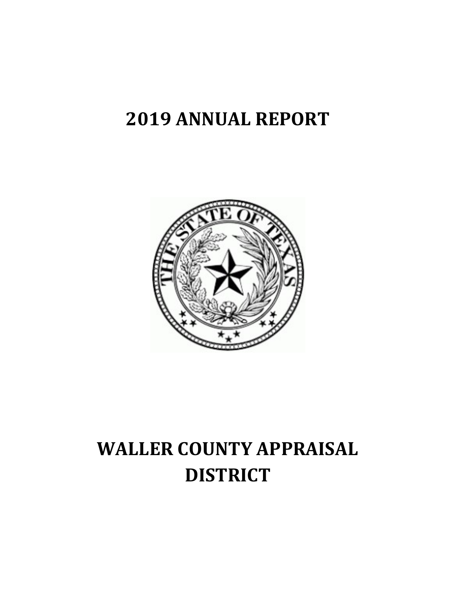## 2019 ANNUAL REPORT



# WALLER COUNTY APPRAISAL **DISTRICT**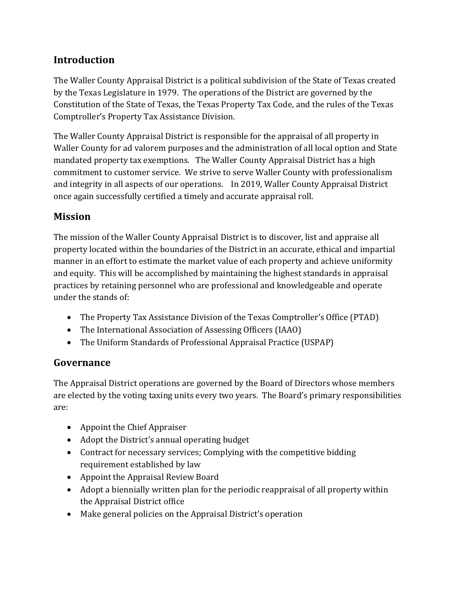#### Introduction

The Waller County Appraisal District is a political subdivision of the State of Texas created by the Texas Legislature in 1979. The operations of the District are governed by the Constitution of the State of Texas, the Texas Property Tax Code, and the rules of the Texas Comptroller's Property Tax Assistance Division.

The Waller County Appraisal District is responsible for the appraisal of all property in Waller County for ad valorem purposes and the administration of all local option and State mandated property tax exemptions. The Waller County Appraisal District has a high commitment to customer service. We strive to serve Waller County with professionalism and integrity in all aspects of our operations. In 2019, Waller County Appraisal District once again successfully certified a timely and accurate appraisal roll.

#### Mission

The mission of the Waller County Appraisal District is to discover, list and appraise all property located within the boundaries of the District in an accurate, ethical and impartial manner in an effort to estimate the market value of each property and achieve uniformity and equity. This will be accomplished by maintaining the highest standards in appraisal practices by retaining personnel who are professional and knowledgeable and operate under the stands of:

- The Property Tax Assistance Division of the Texas Comptroller's Office (PTAD)
- The International Association of Assessing Officers (IAAO)
- The Uniform Standards of Professional Appraisal Practice (USPAP)

#### Governance

The Appraisal District operations are governed by the Board of Directors whose members are elected by the voting taxing units every two years. The Board's primary responsibilities are:

- Appoint the Chief Appraiser
- Adopt the District's annual operating budget
- Contract for necessary services; Complying with the competitive bidding requirement established by law
- Appoint the Appraisal Review Board
- Adopt a biennially written plan for the periodic reappraisal of all property within the Appraisal District office
- Make general policies on the Appraisal District's operation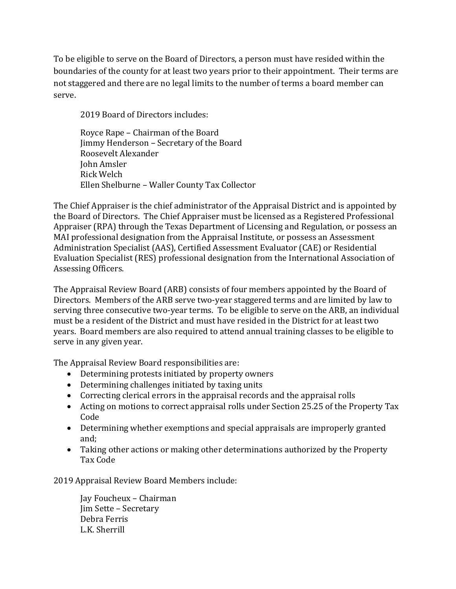To be eligible to serve on the Board of Directors, a person must have resided within the boundaries of the county for at least two years prior to their appointment. Their terms are not staggered and there are no legal limits to the number of terms a board member can serve.

2019 Board of Directors includes:

 Royce Rape – Chairman of the Board Jimmy Henderson – Secretary of the Board Roosevelt Alexander John Amsler Rick Welch Ellen Shelburne – Waller County Tax Collector

The Chief Appraiser is the chief administrator of the Appraisal District and is appointed by the Board of Directors. The Chief Appraiser must be licensed as a Registered Professional Appraiser (RPA) through the Texas Department of Licensing and Regulation, or possess an MAI professional designation from the Appraisal Institute, or possess an Assessment Administration Specialist (AAS), Certified Assessment Evaluator (CAE) or Residential Evaluation Specialist (RES) professional designation from the International Association of Assessing Officers.

The Appraisal Review Board (ARB) consists of four members appointed by the Board of Directors. Members of the ARB serve two-year staggered terms and are limited by law to serving three consecutive two-year terms. To be eligible to serve on the ARB, an individual must be a resident of the District and must have resided in the District for at least two years. Board members are also required to attend annual training classes to be eligible to serve in any given year.

The Appraisal Review Board responsibilities are:

- Determining protests initiated by property owners
- Determining challenges initiated by taxing units
- Correcting clerical errors in the appraisal records and the appraisal rolls
- Acting on motions to correct appraisal rolls under Section 25.25 of the Property Tax Code
- Determining whether exemptions and special appraisals are improperly granted and;
- Taking other actions or making other determinations authorized by the Property Tax Code

2019 Appraisal Review Board Members include:

Jay Foucheux – Chairman Jim Sette – Secretary Debra Ferris L.K. Sherrill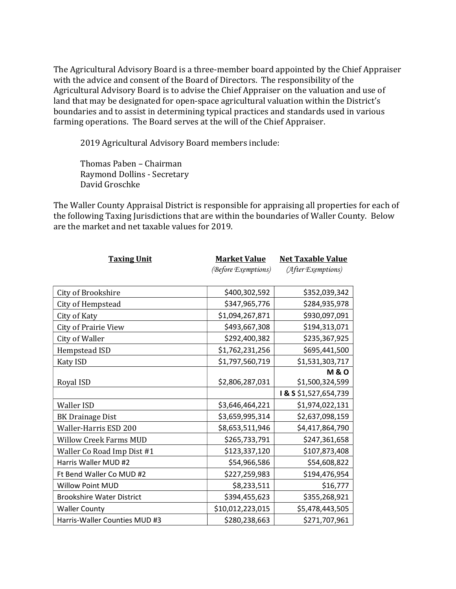The Agricultural Advisory Board is a three-member board appointed by the Chief Appraiser with the advice and consent of the Board of Directors. The responsibility of the Agricultural Advisory Board is to advise the Chief Appraiser on the valuation and use of land that may be designated for open-space agricultural valuation within the District's boundaries and to assist in determining typical practices and standards used in various farming operations. The Board serves at the will of the Chief Appraiser.

2019 Agricultural Advisory Board members include:

 Thomas Paben – Chairman Raymond Dollins - Secretary David Groschke

The Waller County Appraisal District is responsible for appraising all properties for each of the following Taxing Jurisdictions that are within the boundaries of Waller County. Below are the market and net taxable values for 2019.

| <b>Taxing Unit</b>               | <b>Market Value</b> | <b>Net Taxable Value</b> |  |  |
|----------------------------------|---------------------|--------------------------|--|--|
|                                  | (Before Exemptions) | (After Exemptions)       |  |  |
|                                  |                     |                          |  |  |
| City of Brookshire               | \$400,302,592       | \$352,039,342            |  |  |
| City of Hempstead                | \$347,965,776       | \$284,935,978            |  |  |
| City of Katy                     | \$1,094,267,871     | \$930,097,091            |  |  |
| <b>City of Prairie View</b>      | \$493,667,308       | \$194,313,071            |  |  |
| City of Waller                   | \$292,400,382       | \$235,367,925            |  |  |
| Hempstead ISD                    | \$1,762,231,256     | \$695,441,500            |  |  |
| <b>Katy ISD</b>                  | \$1,797,560,719     | \$1,531,303,717          |  |  |
|                                  |                     | <b>M&amp;O</b>           |  |  |
| Royal ISD                        | \$2,806,287,031     | \$1,500,324,599          |  |  |
|                                  |                     | I & S \$1,527,654,739    |  |  |
| <b>Waller ISD</b>                | \$3,646,464,221     | \$1,974,022,131          |  |  |
| <b>BK Drainage Dist</b>          | \$3,659,995,314     | \$2,637,098,159          |  |  |
| Waller-Harris ESD 200            | \$8,653,511,946     | \$4,417,864,790          |  |  |
| <b>Willow Creek Farms MUD</b>    | \$265,733,791       | \$247,361,658            |  |  |
| Waller Co Road Imp Dist #1       | \$123,337,120       | \$107,873,408            |  |  |
| Harris Waller MUD #2             | \$54,966,586        | \$54,608,822             |  |  |
| Ft Bend Waller Co MUD #2         | \$227,259,983       | \$194,476,954            |  |  |
| <b>Willow Point MUD</b>          | \$8,233,511         | \$16,777                 |  |  |
| <b>Brookshire Water District</b> | \$394,455,623       | \$355,268,921            |  |  |
| <b>Waller County</b>             | \$10,012,223,015    | \$5,478,443,505          |  |  |
| Harris-Waller Counties MUD #3    | \$280,238,663       | \$271,707,961            |  |  |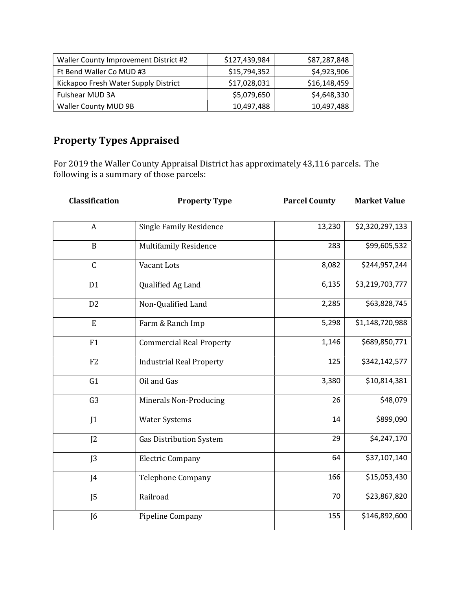| Waller County Improvement District #2 | \$127,439,984 | \$87,287,848 |
|---------------------------------------|---------------|--------------|
| Ft Bend Waller Co MUD #3              | \$15,794,352  | \$4,923,906  |
| Kickapoo Fresh Water Supply District  | \$17,028,031  | \$16,148,459 |
| Fulshear MUD 3A                       | \$5,079,650   | \$4,648,330  |
| <b>Waller County MUD 9B</b>           | 10,497,488    | 10,497,488   |

### Property Types Appraised

For 2019 the Waller County Appraisal District has approximately 43,116 parcels. The following is a summary of those parcels:

| Classification | <b>Property Type</b>            | <b>Parcel County</b> | <b>Market Value</b> |  |
|----------------|---------------------------------|----------------------|---------------------|--|
| $\overline{A}$ | <b>Single Family Residence</b>  | 13,230               | \$2,320,297,133     |  |
| $\mathbf B$    | <b>Multifamily Residence</b>    | 283                  | \$99,605,532        |  |
| $\mathsf{C}$   | Vacant Lots                     | 8,082                | \$244,957,244       |  |
| D <sub>1</sub> | Qualified Ag Land               | 6,135                | \$3,219,703,777     |  |
| D <sub>2</sub> | Non-Qualified Land              | 2,285                | \$63,828,745        |  |
| E              | Farm & Ranch Imp                | 5,298                | \$1,148,720,988     |  |
| F1             | <b>Commercial Real Property</b> | 1,146                | \$689,850,771       |  |
| F2             | <b>Industrial Real Property</b> | 125                  | \$342,142,577       |  |
| G1             | Oil and Gas                     | 3,380                | \$10,814,381        |  |
| G <sub>3</sub> | Minerals Non-Producing          | 26                   | \$48,079            |  |
| J <sub>1</sub> | <b>Water Systems</b>            | 14                   | \$899,090           |  |
| J <sub>2</sub> | <b>Gas Distribution System</b>  | 29                   | \$4,247,170         |  |
| J <sub>3</sub> | <b>Electric Company</b>         | 64                   | \$37,107,140        |  |
| J4             | <b>Telephone Company</b>        | 166                  | \$15,053,430        |  |
| J <sub>5</sub> | Railroad                        | 70                   | \$23,867,820        |  |
| J <sub>6</sub> | Pipeline Company                | 155                  | \$146,892,600       |  |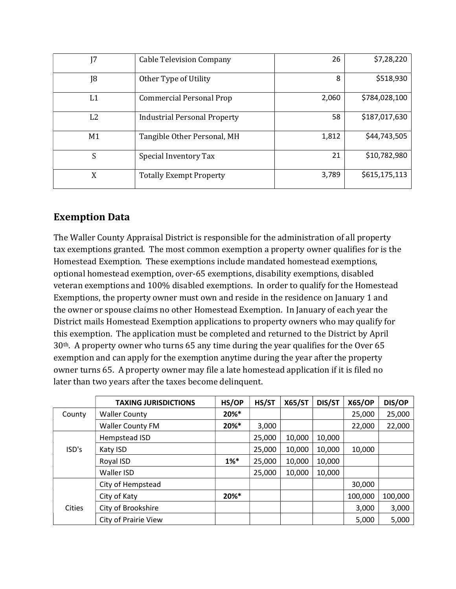| I7             | <b>Cable Television Company</b>     | 26    | \$7,28,220    |
|----------------|-------------------------------------|-------|---------------|
| J8             | Other Type of Utility               | 8     | \$518,930     |
| L <sub>1</sub> | <b>Commercial Personal Prop</b>     | 2,060 | \$784,028,100 |
| L2             | <b>Industrial Personal Property</b> | 58    | \$187,017,630 |
| M1             | Tangible Other Personal, MH         | 1,812 | \$44,743,505  |
| S              | Special Inventory Tax               | 21    | \$10,782,980  |
| X              | <b>Totally Exempt Property</b>      | 3,789 | \$615,175,113 |

#### Exemption Data

The Waller County Appraisal District is responsible for the administration of all property tax exemptions granted. The most common exemption a property owner qualifies for is the Homestead Exemption. These exemptions include mandated homestead exemptions, optional homestead exemption, over-65 exemptions, disability exemptions, disabled veteran exemptions and 100% disabled exemptions. In order to qualify for the Homestead Exemptions, the property owner must own and reside in the residence on January 1 and the owner or spouse claims no other Homestead Exemption. In January of each year the District mails Homestead Exemption applications to property owners who may qualify for this exemption. The application must be completed and returned to the District by April 30th. A property owner who turns 65 any time during the year qualifies for the Over 65 exemption and can apply for the exemption anytime during the year after the property owner turns 65. A property owner may file a late homestead application if it is filed no later than two years after the taxes become delinquent.

|        | <b>TAXING JURISDICTIONS</b> | HS/OP    | HS/ST  | <b>X65/ST</b> | DIS/ST | <b>X65/OP</b> | DIS/OP  |
|--------|-----------------------------|----------|--------|---------------|--------|---------------|---------|
| County | <b>Waller County</b>        | 20%*     |        |               |        | 25,000        | 25,000  |
|        | <b>Waller County FM</b>     | $20\%$ * | 3,000  |               |        | 22,000        | 22,000  |
|        | Hempstead ISD               |          | 25,000 | 10,000        | 10,000 |               |         |
| ISD's  | Katy ISD                    |          | 25,000 | 10,000        | 10,000 | 10,000        |         |
|        | Royal ISD                   | $1\%$ *  | 25,000 | 10,000        | 10,000 |               |         |
|        | Waller ISD                  |          | 25,000 | 10,000        | 10,000 |               |         |
|        | City of Hempstead           |          |        |               |        | 30,000        |         |
|        | City of Katy                | 20%*     |        |               |        | 100,000       | 100,000 |
| Cities | City of Brookshire          |          |        |               |        | 3,000         | 3,000   |
|        | <b>City of Prairie View</b> |          |        |               |        | 5,000         | 5,000   |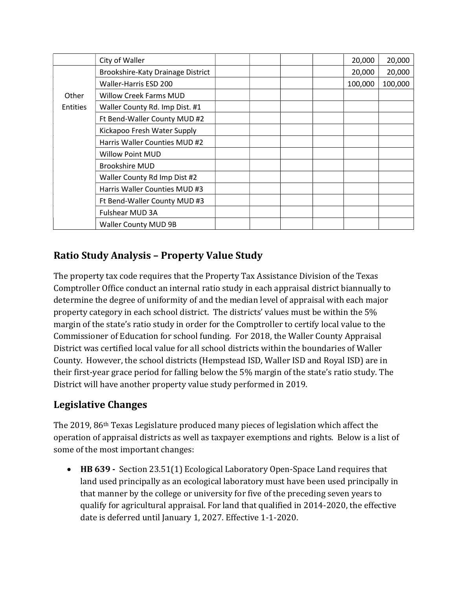|                 | City of Waller                    |  |  | 20,000  | 20,000  |
|-----------------|-----------------------------------|--|--|---------|---------|
|                 | Brookshire-Katy Drainage District |  |  | 20,000  | 20,000  |
|                 | Waller-Harris ESD 200             |  |  | 100,000 | 100,000 |
| Other           | <b>Willow Creek Farms MUD</b>     |  |  |         |         |
| <b>Entities</b> | Waller County Rd. Imp Dist. #1    |  |  |         |         |
|                 | Ft Bend-Waller County MUD #2      |  |  |         |         |
|                 | Kickapoo Fresh Water Supply       |  |  |         |         |
|                 | Harris Waller Counties MUD #2     |  |  |         |         |
|                 | <b>Willow Point MUD</b>           |  |  |         |         |
|                 | <b>Brookshire MUD</b>             |  |  |         |         |
|                 | Waller County Rd Imp Dist #2      |  |  |         |         |
|                 | Harris Waller Counties MUD #3     |  |  |         |         |
|                 | Ft Bend-Waller County MUD #3      |  |  |         |         |
|                 | Fulshear MUD 3A                   |  |  |         |         |
|                 | <b>Waller County MUD 9B</b>       |  |  |         |         |

#### Ratio Study Analysis – Property Value Study

The property tax code requires that the Property Tax Assistance Division of the Texas Comptroller Office conduct an internal ratio study in each appraisal district biannually to determine the degree of uniformity of and the median level of appraisal with each major property category in each school district. The districts' values must be within the 5% margin of the state's ratio study in order for the Comptroller to certify local value to the Commissioner of Education for school funding. For 2018, the Waller County Appraisal District was certified local value for all school districts within the boundaries of Waller County. However, the school districts (Hempstead ISD, Waller ISD and Royal ISD) are in their first-year grace period for falling below the 5% margin of the state's ratio study. The District will have another property value study performed in 2019.

#### Legislative Changes

The 2019, 86th Texas Legislature produced many pieces of legislation which affect the operation of appraisal districts as well as taxpayer exemptions and rights. Below is a list of some of the most important changes:

• HB 639 - Section 23.51(1) Ecological Laboratory Open-Space Land requires that land used principally as an ecological laboratory must have been used principally in that manner by the college or university for five of the preceding seven years to qualify for agricultural appraisal. For land that qualified in 2014-2020, the effective date is deferred until January 1, 2027. Effective 1-1-2020.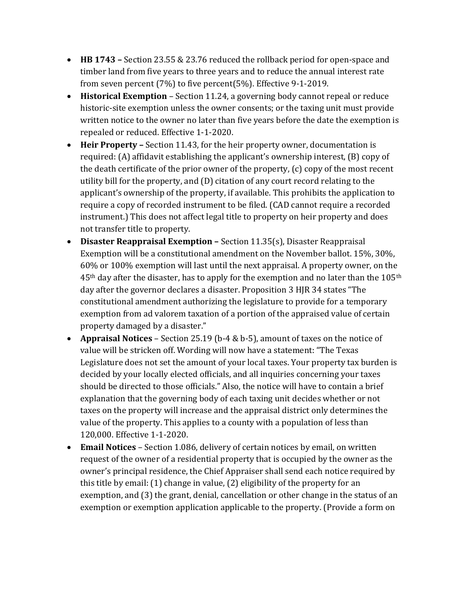- HB 1743 Section 23.55 & 23.76 reduced the rollback period for open-space and timber land from five years to three years and to reduce the annual interest rate from seven percent (7%) to five percent(5%). Effective 9-1-2019.
- Historical Exemption Section 11.24, a governing body cannot repeal or reduce historic-site exemption unless the owner consents; or the taxing unit must provide written notice to the owner no later than five years before the date the exemption is repealed or reduced. Effective 1-1-2020.
- Heir Property Section 11.43, for the heir property owner, documentation is required: (A) affidavit establishing the applicant's ownership interest, (B) copy of the death certificate of the prior owner of the property, (c) copy of the most recent utility bill for the property, and (D) citation of any court record relating to the applicant's ownership of the property, if available. This prohibits the application to require a copy of recorded instrument to be filed. (CAD cannot require a recorded instrument.) This does not affect legal title to property on heir property and does not transfer title to property.
- $\bullet$  Disaster Reappraisal Exemption Section 11.35(s), Disaster Reappraisal Exemption will be a constitutional amendment on the November ballot. 15%, 30%, 60% or 100% exemption will last until the next appraisal. A property owner, on the  $45<sup>th</sup>$  day after the disaster, has to apply for the exemption and no later than the 105<sup>th</sup> day after the governor declares a disaster. Proposition 3 HJR 34 states "The constitutional amendment authorizing the legislature to provide for a temporary exemption from ad valorem taxation of a portion of the appraised value of certain property damaged by a disaster."
- Appraisal Notices Section 25.19 (b-4 & b-5), amount of taxes on the notice of value will be stricken off. Wording will now have a statement: "The Texas Legislature does not set the amount of your local taxes. Your property tax burden is decided by your locally elected officials, and all inquiries concerning your taxes should be directed to those officials." Also, the notice will have to contain a brief explanation that the governing body of each taxing unit decides whether or not taxes on the property will increase and the appraisal district only determines the value of the property. This applies to a county with a population of less than 120,000. Effective 1-1-2020.
- Email Notices Section 1.086, delivery of certain notices by email, on written request of the owner of a residential property that is occupied by the owner as the owner's principal residence, the Chief Appraiser shall send each notice required by this title by email: (1) change in value, (2) eligibility of the property for an exemption, and (3) the grant, denial, cancellation or other change in the status of an exemption or exemption application applicable to the property. (Provide a form on